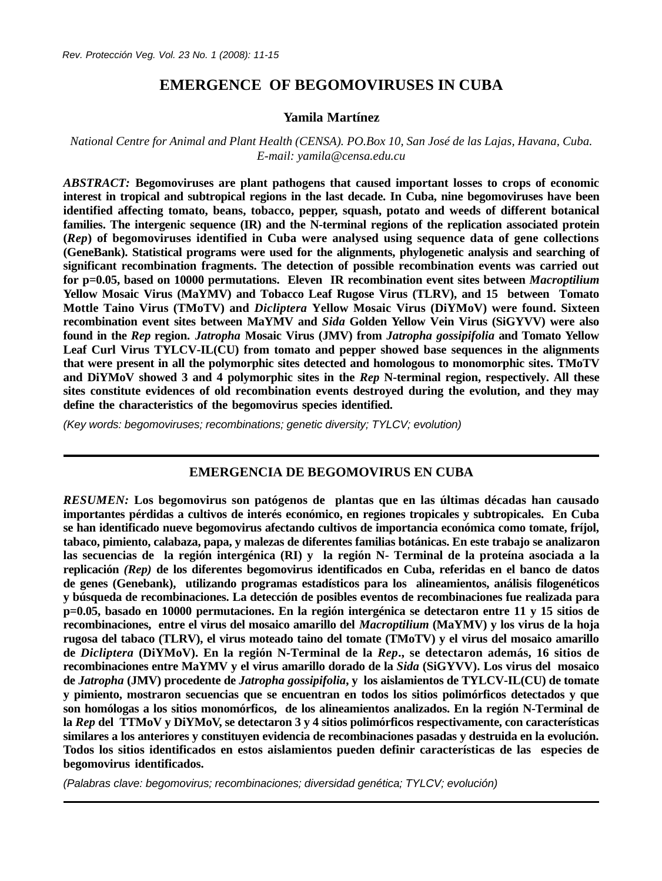# **EMERGENCE OF BEGOMOVIRUSES IN CUBA**

### **Yamila Martínez**

## *National Centre for Animal and Plant Health (CENSA). PO.Box 10, San José de las Lajas, Havana, Cuba. E-mail: yamila@censa.edu.cu*

*ABSTRACT:* **Begomoviruses are plant pathogens that caused important losses to crops of economic interest in tropical and subtropical regions in the last decade. In Cuba, nine begomoviruses have been identified affecting tomato, beans, tobacco, pepper, squash, potato and weeds of different botanical families. The intergenic sequence (IR) and the N-terminal regions of the replication associated protein (***Rep***) of begomoviruses identified in Cuba were analysed using sequence data of gene collections (GeneBank). Statistical programs were used for the alignments, phylogenetic analysis and searching of significant recombination fragments. The detection of possible recombination events was carried out for p=0.05, based on 10000 permutations. Eleven IR recombination event sites between** *Macroptilium* **Yellow Mosaic Virus (MaYMV) and Tobacco Leaf Rugose Virus (TLRV), and 15 between Tomato Mottle Taino Virus (TMoTV) and** *Dicliptera* **Yellow Mosaic Virus (DiYMoV) were found. Sixteen recombination event sites between MaYMV and** *Sida* **Golden Yellow Vein Virus (SiGYVV) were also found in the** *Rep* **region.** *Jatropha* **Mosaic Virus (JMV) from** *Jatropha gossipifolia* **and Tomato Yellow Leaf Curl Virus TYLCV-IL(CU) from tomato and pepper showed base sequences in the alignments that were present in all the polymorphic sites detected and homologous to monomorphic sites. TMoTV and DiYMoV showed 3 and 4 polymorphic sites in the** *Rep* **N-terminal region, respectively. All these sites constitute evidences of old recombination events destroyed during the evolution, and they may define the characteristics of the begomovirus species identified.**

*(Key words: begomoviruses; recombinations; genetic diversity; TYLCV; evolution)*

## **EMERGENCIA DE BEGOMOVIRUS EN CUBA**

*RESUMEN:* **Los begomovirus son patógenos de plantas que en las últimas décadas han causado importantes pérdidas a cultivos de interés económico, en regiones tropicales y subtropicales. En Cuba se han identificado nueve begomovirus afectando cultivos de importancia económica como tomate, fríjol, tabaco, pimiento, calabaza, papa, y malezas de diferentes familias botánicas. En este trabajo se analizaron las secuencias de la región intergénica (RI) y la región N- Terminal de la proteína asociada a la replicación** *(Rep)* **de los diferentes begomovirus identificados en Cuba, referidas en el banco de datos de genes (Genebank), utilizando programas estadísticos para los alineamientos, análisis filogenéticos y búsqueda de recombinaciones. La detección de posibles eventos de recombinaciones fue realizada para p=0.05, basado en 10000 permutaciones. En la región intergénica se detectaron entre 11 y 15 sitios de recombinaciones, entre el virus del mosaico amarillo del** *Macroptilium* **(MaYMV) y los virus de la hoja rugosa del tabaco (TLRV), el virus moteado taino del tomate (TMoTV) y el virus del mosaico amarillo de** *Dicliptera* **(DiYMoV). En la región N-Terminal de la** *Rep***., se detectaron además, 16 sitios de recombinaciones entre MaYMV y el virus amarillo dorado de la** *Sida* **(SiGYVV). Los virus del mosaico de** *Jatropha* **(JMV) procedente de** *Jatropha gossipifolia***, y los aislamientos de TYLCV-IL(CU) de tomate y pimiento, mostraron secuencias que se encuentran en todos los sitios polimórficos detectados y que son homólogas a los sitios monomórficos, de los alineamientos analizados. En la región N-Terminal de la** *Rep* **del TTMoV y DiYMoV, se detectaron 3 y 4 sitios polimórficos respectivamente, con características similares a los anteriores y constituyen evidencia de recombinaciones pasadas y destruida en la evolución. Todos los sitios identificados en estos aislamientos pueden definir características de las especies de begomovirus identificados.**

*(Palabras clave: begomovirus; recombinaciones; diversidad genética; TYLCV; evolución)*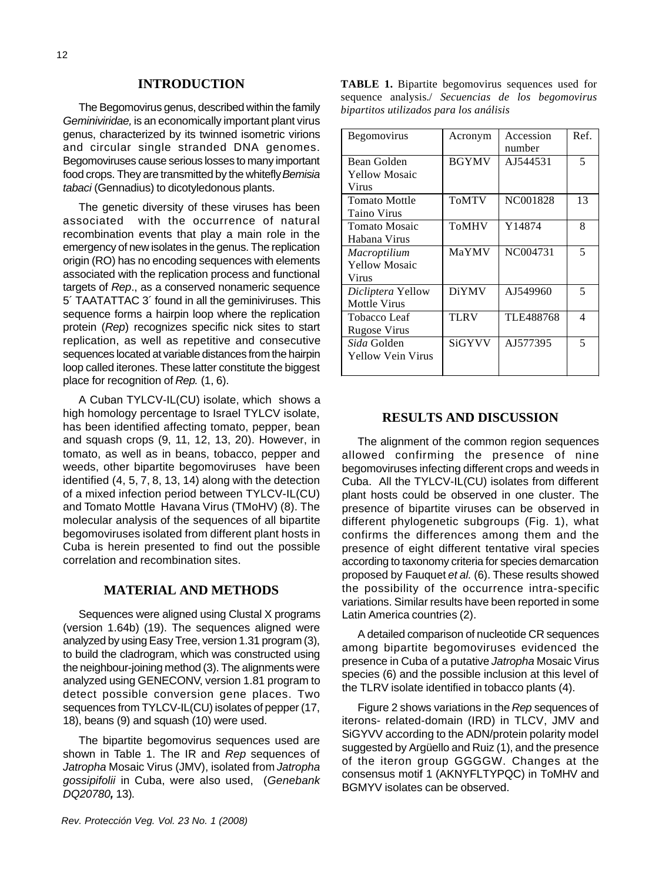#### **INTRODUCTION**

The Begomovirus genus, described within the family *Geminiviridae,* is an economically important plant virus genus, characterized by its twinned isometric virions and circular single stranded DNA genomes. Begomoviruses cause serious losses to many important food crops. They are transmitted by the whitefly *Bemisia tabaci* (Gennadius) to dicotyledonous plants.

The genetic diversity of these viruses has been associated with the occurrence of natural recombination events that play a main role in the emergency of new isolates in the genus. The replication origin (RO) has no encoding sequences with elements associated with the replication process and functional targets of *Rep*., as a conserved nonameric sequence 5´ TAATATTAC 3´ found in all the geminiviruses. This sequence forms a hairpin loop where the replication protein (*Rep*) recognizes specific nick sites to start replication, as well as repetitive and consecutive sequences located at variable distances from the hairpin loop called iterones. These latter constitute the biggest place for recognition of *Rep.* (1, 6).

A Cuban TYLCV-IL(CU) isolate, which shows a high homology percentage to Israel TYLCV isolate, has been identified affecting tomato, pepper, bean and squash crops (9, 11, 12, 13, 20). However, in tomato, as well as in beans, tobacco, pepper and weeds, other bipartite begomoviruses have been identified (4, 5, 7, 8, 13, 14) along with the detection of a mixed infection period between TYLCV-IL(CU) and Tomato Mottle Havana Virus (TMoHV) (8). The molecular analysis of the sequences of all bipartite begomoviruses isolated from different plant hosts in Cuba is herein presented to find out the possible correlation and recombination sites.

### **MATERIAL AND METHODS**

Sequences were aligned using Clustal X programs (version 1.64b) (19). The sequences aligned were analyzed by using Easy Tree, version 1.31 program (3), to build the cladrogram, which was constructed using the neighbour-joining method (3). The alignments were analyzed using GENECONV, version 1.81 program to detect possible conversion gene places. Two sequences from TYLCV-IL(CU) isolates of pepper (17, 18), beans (9) and squash (10) were used.

The bipartite begomovirus sequences used are shown in Table 1. The IR and *Rep* sequences of *Jatropha* Mosaic Virus (JMV), isolated from *Jatropha gossipifolii* in Cuba, were also used, (*Genebank DQ20780,* 13)*.*

**TABLE 1.** Bipartite begomovirus sequences used for sequence analysis./ *Secuencias de los begomovirus bipartitos utilizados para los análisis*

| Begomovirus              | Acronym      | Accession | Ref. |
|--------------------------|--------------|-----------|------|
|                          |              | number    |      |
| Bean Golden              | <b>BGYMV</b> | AJ544531  | 5    |
| <b>Yellow Mosaic</b>     |              |           |      |
| Virus                    |              |           |      |
| <b>Tomato Mottle</b>     | <b>ToMTV</b> | NC001828  | 13   |
| <b>Taino Virus</b>       |              |           |      |
| <b>Tomato Mosaic</b>     | <b>ToMHV</b> | Y14874    | 8    |
| Habana Virus             |              |           |      |
| Macroptilium             | MaYMV        | NC004731  | 5    |
| <b>Yellow Mosaic</b>     |              |           |      |
| Virus                    |              |           |      |
| Dicliptera Yellow        | <b>DiYMV</b> | AJ549960  | 5    |
| <b>Mottle Virus</b>      |              |           |      |
| <b>Tobacco Leaf</b>      | <b>TLRV</b>  | TLE488768 | 4    |
| <b>Rugose Virus</b>      |              |           |      |
| <i>Sida</i> Golden       | SiGYVV       | AJ577395  | 5    |
| <b>Yellow Vein Virus</b> |              |           |      |
|                          |              |           |      |

#### **RESULTS AND DISCUSSION**

The alignment of the common region sequences allowed confirming the presence of nine begomoviruses infecting different crops and weeds in Cuba. All the TYLCV-IL(CU) isolates from different plant hosts could be observed in one cluster. The presence of bipartite viruses can be observed in different phylogenetic subgroups (Fig. 1), what confirms the differences among them and the presence of eight different tentative viral species according to taxonomy criteria for species demarcation proposed by Fauquet *et al.* (6). These results showed the possibility of the occurrence intra-specific variations. Similar results have been reported in some Latin America countries (2).

A detailed comparison of nucleotide CR sequences among bipartite begomoviruses evidenced the presence in Cuba of a putative *Jatropha* Mosaic Virus species (6) and the possible inclusion at this level of the TLRV isolate identified in tobacco plants (4).

Figure 2 shows variations in the *Rep* sequences of iterons- related-domain (IRD) in TLCV, JMV and SiGYVV according to the ADN/protein polarity model suggested by Argüello and Ruiz (1), and the presence of the iteron group GGGGW. Changes at the consensus motif 1 (AKNYFLTYPQC) in ToMHV and BGMYV isolates can be observed.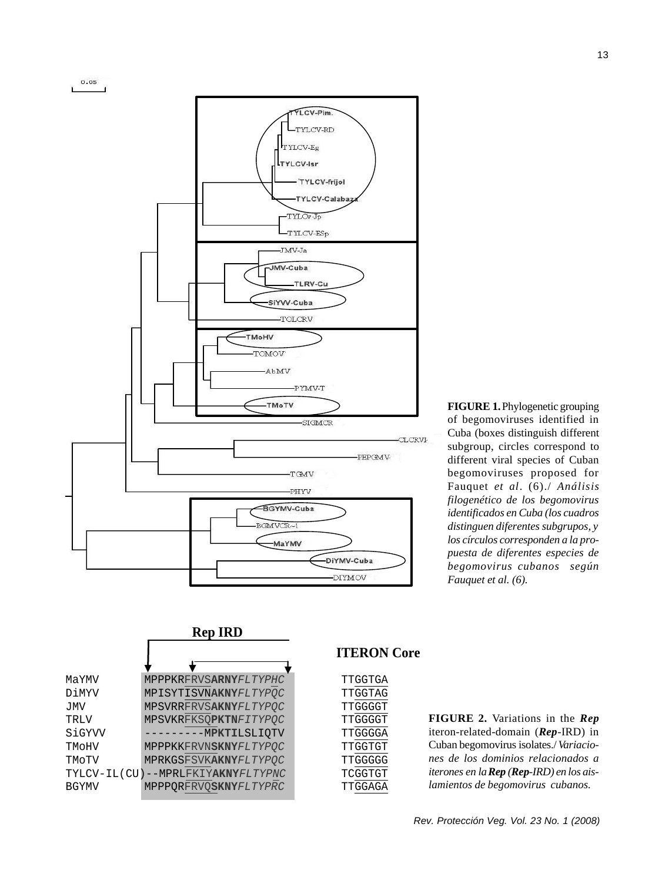

**FIGURE 1.** Phylogenetic grouping of begomoviruses identified in Cuba (boxes distinguish different subgroup, circles correspond to different viral species of Cuban begomoviruses proposed for Fauquet *et al*. (6)./ *Análisis filogenético de los begomovirus identificados en Cuba (los cuadros distinguen diferentes subgrupos, y los círculos corresponden a la propuesta de diferentes especies de begomovirus cubanos según Fauquet et al. (6).*

|              | <b>Rep IRD</b>                    |  |  |
|--------------|-----------------------------------|--|--|
|              |                                   |  |  |
| MaYMV        | MPPPKRFRVSARNYFLTYPHC             |  |  |
| DiMYV        | MPISYTISVNAKNYFLTYPOC             |  |  |
| JMV          | MPSVRRFRVSAKNYFLTYPQC             |  |  |
| TRLV         | MPSVKRFKSOPKTNFITYPOC             |  |  |
| SiGYVV       | --------MPKTILSLIOTV              |  |  |
| TMOHV        | MPPPKKFRVNSKNYFLTYPOC             |  |  |
| TMoTV        | MPRKGSFSVKAKNYFLTYPOC             |  |  |
|              | TYLCV-IL(CU)--MPRLFKIYAKNYFLTYPNC |  |  |
| <b>BGYMV</b> | MPPPQRFRVQSKNYFLTYPRC             |  |  |

# **ITERON Core**

MaYMV MPPPKRFRVS**ARNY***FLTYPHC* TTGGTGA DiMYV MPISYTISVN**AKNY***FLTYPQC* TTGGTAG JMV MPSVRRFRVS**AKNY***FLTYPQC* TTGGGGT TRLV MPSVKRFKSQ**PKTN***FITYPQC* TTGGGGT TTGGGGA TMoHV MPPPKKFRVN**SKNY***FLTYPQC* TTGGTGT TMoTV MPRKGSFSVK**AKNY***FLTYPQC* TTGGGGG TYLCV-IL(CU)--MPRLFKIY**AKNY***FLTYPNC* TCGGTGT BGYMV MPPPQRFRVQ**SKNY***FLTYPRC* TTGGAGA

### **FIGURE 2.** Variations in the *Rep* iteron-related-domain (*Rep*-IRD) in Cuban begomovirus isolates./ *Variaciones de los dominios relacionados a iterones en la Rep (Rep-IRD) en los aislamientos de begomovirus cubanos.*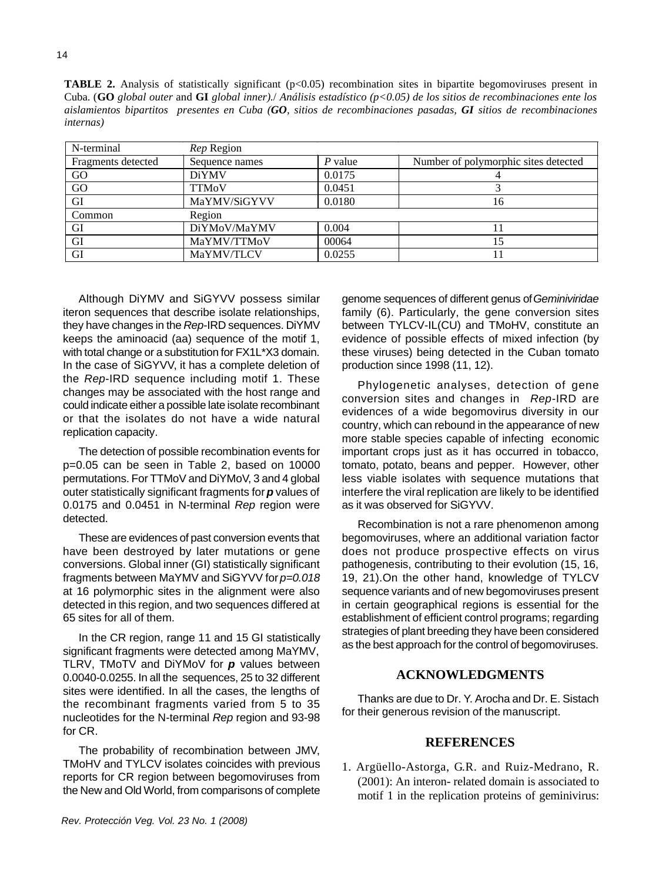**TABLE 2.** Analysis of statistically significant (p<0.05) recombination sites in bipartite begomoviruses present in Cuba. (**GO** *global outer* and **GI** *global inner).*/ *Análisis estadístico (p<0.05) de los sitios de recombinaciones ente los aislamientos bipartitos presentes en Cuba (GO, sitios de recombinaciones pasadas, GI sitios de recombinaciones internas)* 

| N-terminal         | <i>Rep</i> Region |           |                                      |
|--------------------|-------------------|-----------|--------------------------------------|
| Fragments detected | Sequence names    | $P$ value | Number of polymorphic sites detected |
| GO                 | <b>DiYMV</b>      | 0.0175    |                                      |
| GO                 | <b>TTMoV</b>      | 0.0451    |                                      |
| GI                 | MaYMV/SiGYVV      | 0.0180    | 16                                   |
| Common             | Region            |           |                                      |
| GI                 | DiYMoV/MaYMV      | 0.004     |                                      |
| GI                 | MaYMV/TTMoV       | 00064     |                                      |
| GI                 | MaYMV/TLCV        | 0.0255    |                                      |

Although DiYMV and SiGYVV possess similar iteron sequences that describe isolate relationships, they have changes in the *Rep*-IRD sequences. DiYMV keeps the aminoacid (aa) sequence of the motif 1, with total change or a substitution for FX1L\*X3 domain. In the case of SiGYVV, it has a complete deletion of the *Rep*-IRD sequence including motif 1. These changes may be associated with the host range and could indicate either a possible late isolate recombinant or that the isolates do not have a wide natural replication capacity.

The detection of possible recombination events for p=0.05 can be seen in Table 2, based on 10000 permutations. For TTMoV and DiYMoV, 3 and 4 global outer statistically significant fragments for *p* values of 0.0175 and 0.0451 in N-terminal *Rep* region were detected.

These are evidences of past conversion events that have been destroyed by later mutations or gene conversions. Global inner (GI) statistically significant fragments between MaYMV and SiGYVV for *p=0.018* at 16 polymorphic sites in the alignment were also detected in this region, and two sequences differed at 65 sites for all of them.

In the CR region, range 11 and 15 GI statistically significant fragments were detected among MaYMV, TLRV, TMoTV and DiYMoV for *p* values between 0.0040-0.0255. In all the sequences, 25 to 32 different sites were identified. In all the cases, the lengths of the recombinant fragments varied from 5 to 35 nucleotides for the N-terminal *Rep* region and 93-98 for CR.

The probability of recombination between JMV, TMoHV and TYLCV isolates coincides with previous reports for CR region between begomoviruses from the New and Old World, from comparisons of complete genome sequences of different genus of *Geminiviridae* family (6). Particularly, the gene conversion sites between TYLCV-IL(CU) and TMoHV, constitute an evidence of possible effects of mixed infection (by these viruses) being detected in the Cuban tomato production since 1998 (11, 12).

Phylogenetic analyses, detection of gene conversion sites and changes in *Rep*-IRD are evidences of a wide begomovirus diversity in our country, which can rebound in the appearance of new more stable species capable of infecting economic important crops just as it has occurred in tobacco, tomato, potato, beans and pepper. However, other less viable isolates with sequence mutations that interfere the viral replication are likely to be identified as it was observed for SiGYVV.

Recombination is not a rare phenomenon among begomoviruses, where an additional variation factor does not produce prospective effects on virus pathogenesis, contributing to their evolution (15, 16, 19, 21).On the other hand, knowledge of TYLCV sequence variants and of new begomoviruses present in certain geographical regions is essential for the establishment of efficient control programs; regarding strategies of plant breeding they have been considered as the best approach for the control of begomoviruses.

# **ACKNOWLEDGMENTS**

Thanks are due to Dr. Y. Arocha and Dr. E. Sistach for their generous revision of the manuscript.

#### **REFERENCES**

1. Argüello-Astorga, G.R. and Ruiz-Medrano, R. (2001): An interon- related domain is associated to motif 1 in the replication proteins of geminivirus: